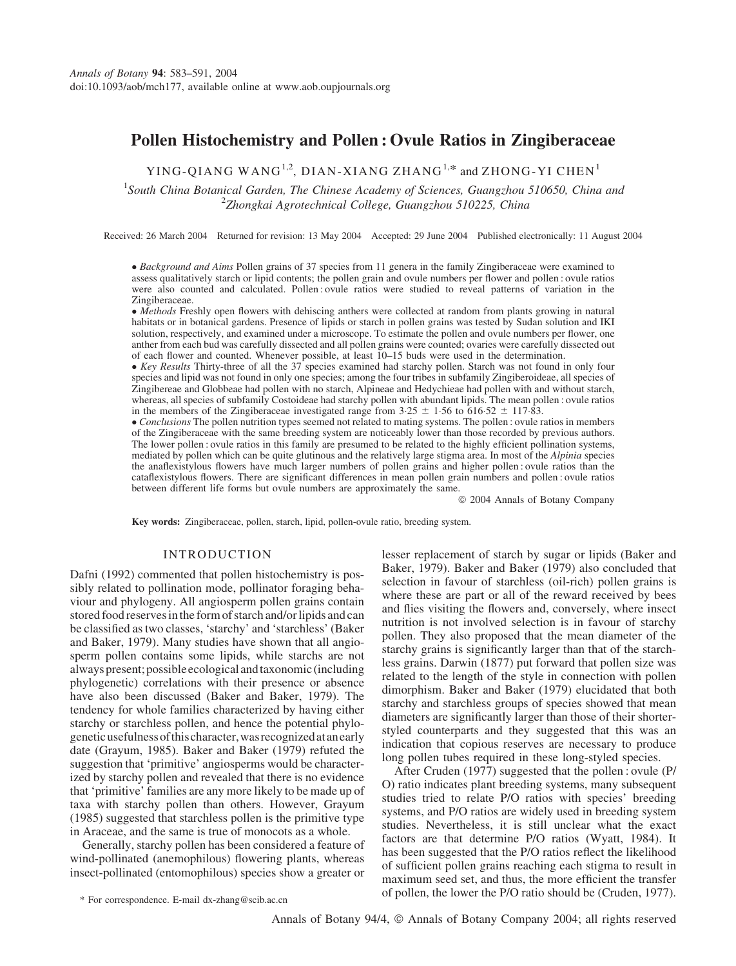## Pollen Histochemistry and Pollen : Ovule Ratios in Zingiberaceae

YING-QIANG WANG<sup>1,2</sup>, DIAN-XIANG ZHANG<sup>1,\*</sup> and ZHONG-YI CHEN<sup>1</sup>

<sup>1</sup> South China Botanical Garden, The Chinese Academy of Sciences, Guangzhou 510650, China and<br><sup>2</sup> Zhongkai Agretechnical Collage Guangzhou 510225, China  $2$ Zhongkai Agrotechnical College, Guangzhou 510225, China

Received: 26 March 2004 Returned for revision: 13 May 2004 Accepted: 29 June 2004 Published electronically: 11 August 2004

 Background and Aims Pollen grains of 37 species from 11 genera in the family Zingiberaceae were examined to assess qualitatively starch or lipid contents; the pollen grain and ovule numbers per flower and pollen : ovule ratios were also counted and calculated. Pollen : ovule ratios were studied to reveal patterns of variation in the Zingiberaceae.

• Methods Freshly open flowers with dehiscing anthers were collected at random from plants growing in natural habitats or in botanical gardens. Presence of lipids or starch in pollen grains was tested by Sudan solution and IKI solution, respectively, and examined under a microscope. To estimate the pollen and ovule numbers per flower, one anther from each bud was carefully dissected and all pollen grains were counted; ovaries were carefully dissected out of each flower and counted. Whenever possible, at least 10–15 buds were used in the determination.

• Key Results Thirty-three of all the 37 species examined had starchy pollen. Starch was not found in only four species and lipid was not found in only one species; among the four tribes in subfamily Zingiberoideae, all species of Zingibereae and Globbeae had pollen with no starch, Alpineae and Hedychieae had pollen with and without starch, whereas, all species of subfamily Costoideae had starchy pollen with abundant lipids. The mean pollen : ovule ratios in the members of the Zingiberaceae investigated range from  $3.25 \pm 1.56$  to  $616.52 \pm 117.83$ .

• Conclusions The pollen nutrition types seemed not related to mating systems. The pollen : ovule ratios in members of the Zingiberaceae with the same breeding system are noticeably lower than those recorded by previous authors. The lower pollen : ovule ratios in this family are presumed to be related to the highly efficient pollination systems, mediated by pollen which can be quite glutinous and the relatively large stigma area. In most of the Alpinia species the anaflexistylous flowers have much larger numbers of pollen grains and higher pollen : ovule ratios than the cataflexistylous flowers. There are significant differences in mean pollen grain numbers and pollen : ovule ratios between different life forms but ovule numbers are approximately the same.

 $© 2004$  Annals of Botany Company

Key words: Zingiberaceae, pollen, starch, lipid, pollen-ovule ratio, breeding system.

## INTRODUCTION

Dafni (1992) commented that pollen histochemistry is possibly related to pollination mode, pollinator foraging behaviour and phylogeny. All angiosperm pollen grains contain stored food reservesinthe form of starch and/orlipids and can be classified as two classes, 'starchy' and 'starchless' (Baker and Baker, 1979). Many studies have shown that all angiosperm pollen contains some lipids, while starchs are not always present; possibleecological andtaxonomic (including phylogenetic) correlations with their presence or absence have also been discussed (Baker and Baker, 1979). The tendency for whole families characterized by having either starchy or starchless pollen, and hence the potential phylogenetic usefulness ofthischaracter,was recognizedatanearly date (Grayum, 1985). Baker and Baker (1979) refuted the suggestion that 'primitive' angiosperms would be characterized by starchy pollen and revealed that there is no evidence that 'primitive' families are any more likely to be made up of taxa with starchy pollen than others. However, Grayum (1985) suggested that starchless pollen is the primitive type in Araceae, and the same is true of monocots as a whole.

Generally, starchy pollen has been considered a feature of wind-pollinated (anemophilous) flowering plants, whereas insect-pollinated (entomophilous) species show a greater or lesser replacement of starch by sugar or lipids (Baker and Baker, 1979). Baker and Baker (1979) also concluded that selection in favour of starchless (oil-rich) pollen grains is where these are part or all of the reward received by bees and flies visiting the flowers and, conversely, where insect nutrition is not involved selection is in favour of starchy pollen. They also proposed that the mean diameter of the starchy grains is significantly larger than that of the starchless grains. Darwin (1877) put forward that pollen size was related to the length of the style in connection with pollen dimorphism. Baker and Baker (1979) elucidated that both starchy and starchless groups of species showed that mean diameters are significantly larger than those of their shorterstyled counterparts and they suggested that this was an indication that copious reserves are necessary to produce long pollen tubes required in these long-styled species.

After Cruden (1977) suggested that the pollen : ovule (P/ O) ratio indicates plant breeding systems, many subsequent studies tried to relate P/O ratios with species' breeding systems, and P/O ratios are widely used in breeding system studies. Nevertheless, it is still unclear what the exact factors are that determine P/O ratios (Wyatt, 1984). It has been suggested that the P/O ratios reflect the likelihood of sufficient pollen grains reaching each stigma to result in maximum seed set, and thus, the more efficient the transfer of pollen, the lower the P/O ratio should be (Cruden, 1977).

<sup>\*</sup> For correspondence. E-mail dx-zhang@scib.ac.cn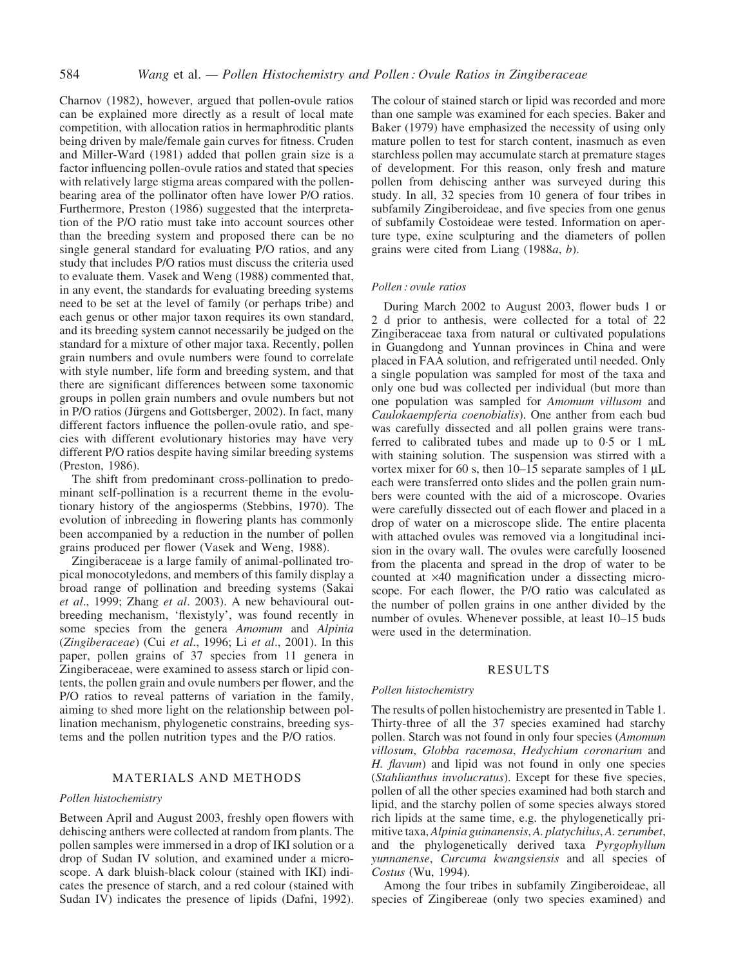Charnov (1982), however, argued that pollen-ovule ratios can be explained more directly as a result of local mate competition, with allocation ratios in hermaphroditic plants being driven by male/female gain curves for fitness. Cruden and Miller-Ward (1981) added that pollen grain size is a factor influencing pollen-ovule ratios and stated that species with relatively large stigma areas compared with the pollenbearing area of the pollinator often have lower P/O ratios. Furthermore, Preston (1986) suggested that the interpretation of the P/O ratio must take into account sources other than the breeding system and proposed there can be no single general standard for evaluating P/O ratios, and any study that includes P/O ratios must discuss the criteria used to evaluate them. Vasek and Weng (1988) commented that, in any event, the standards for evaluating breeding systems need to be set at the level of family (or perhaps tribe) and each genus or other major taxon requires its own standard, and its breeding system cannot necessarily be judged on the standard for a mixture of other major taxa. Recently, pollen grain numbers and ovule numbers were found to correlate with style number, life form and breeding system, and that there are significant differences between some taxonomic groups in pollen grain numbers and ovule numbers but not in P/O ratios (Jürgens and Gottsberger, 2002). In fact, many different factors influence the pollen-ovule ratio, and species with different evolutionary histories may have very different P/O ratios despite having similar breeding systems (Preston, 1986).

The shift from predominant cross-pollination to predominant self-pollination is a recurrent theme in the evolutionary history of the angiosperms (Stebbins, 1970). The evolution of inbreeding in flowering plants has commonly been accompanied by a reduction in the number of pollen grains produced per flower (Vasek and Weng, 1988).

Zingiberaceae is a large family of animal-pollinated tropical monocotyledons, and members of this family display a broad range of pollination and breeding systems (Sakai et al., 1999; Zhang et al. 2003). A new behavioural outbreeding mechanism, 'flexistyly', was found recently in some species from the genera Amomum and Alpinia (Zingiberaceae) (Cui et al., 1996; Li et al., 2001). In this paper, pollen grains of 37 species from 11 genera in Zingiberaceae, were examined to assess starch or lipid contents, the pollen grain and ovule numbers per flower, and the P/O ratios to reveal patterns of variation in the family, aiming to shed more light on the relationship between pollination mechanism, phylogenetic constrains, breeding systems and the pollen nutrition types and the P/O ratios.

## MATERIALS AND METHODS

### Pollen histochemistry

Between April and August 2003, freshly open flowers with dehiscing anthers were collected at random from plants. The pollen samples were immersed in a drop of IKI solution or a drop of Sudan IV solution, and examined under a microscope. A dark bluish-black colour (stained with IKI) indicates the presence of starch, and a red colour (stained with Sudan IV) indicates the presence of lipids (Dafni, 1992). The colour of stained starch or lipid was recorded and more than one sample was examined for each species. Baker and Baker (1979) have emphasized the necessity of using only mature pollen to test for starch content, inasmuch as even starchless pollen may accumulate starch at premature stages of development. For this reason, only fresh and mature pollen from dehiscing anther was surveyed during this study. In all, 32 species from 10 genera of four tribes in subfamily Zingiberoideae, and five species from one genus of subfamily Costoideae were tested. Information on aperture type, exine sculpturing and the diameters of pollen grains were cited from Liang (1988a, b).

#### Pollen : ovule ratios

During March 2002 to August 2003, flower buds 1 or 2 d prior to anthesis, were collected for a total of 22 Zingiberaceae taxa from natural or cultivated populations in Guangdong and Yunnan provinces in China and were placed in FAA solution, and refrigerated until needed. Only a single population was sampled for most of the taxa and only one bud was collected per individual (but more than one population was sampled for Amomum villusom and Caulokaempferia coenobialis). One anther from each bud was carefully dissected and all pollen grains were transferred to calibrated tubes and made up to 0-5 or 1 mL with staining solution. The suspension was stirred with a vortex mixer for 60 s, then  $10-15$  separate samples of 1  $\mu$ L each were transferred onto slides and the pollen grain numbers were counted with the aid of a microscope. Ovaries were carefully dissected out of each flower and placed in a drop of water on a microscope slide. The entire placenta with attached ovules was removed via a longitudinal incision in the ovary wall. The ovules were carefully loosened from the placenta and spread in the drop of water to be counted at  $\times$ 40 magnification under a dissecting microscope. For each flower, the P/O ratio was calculated as the number of pollen grains in one anther divided by the number of ovules. Whenever possible, at least 10–15 buds were used in the determination.

#### RESULTS

### Pollen histochemistry

The results of pollen histochemistry are presented in Table 1. Thirty-three of all the 37 species examined had starchy pollen. Starch was not found in only four species (Amomum villosum, Globba racemosa, Hedychium coronarium and H. flavum) and lipid was not found in only one species (Stahlianthus involucratus). Except for these five species, pollen of all the other species examined had both starch and lipid, and the starchy pollen of some species always stored rich lipids at the same time, e.g. the phylogenetically primitive taxa, Alpinia guinanensis, A. platychilus, A. zerumbet, and the phylogenetically derived taxa Pyrgophyllum yunnanense, Curcuma kwangsiensis and all species of Costus (Wu, 1994).

Among the four tribes in subfamily Zingiberoideae, all species of Zingibereae (only two species examined) and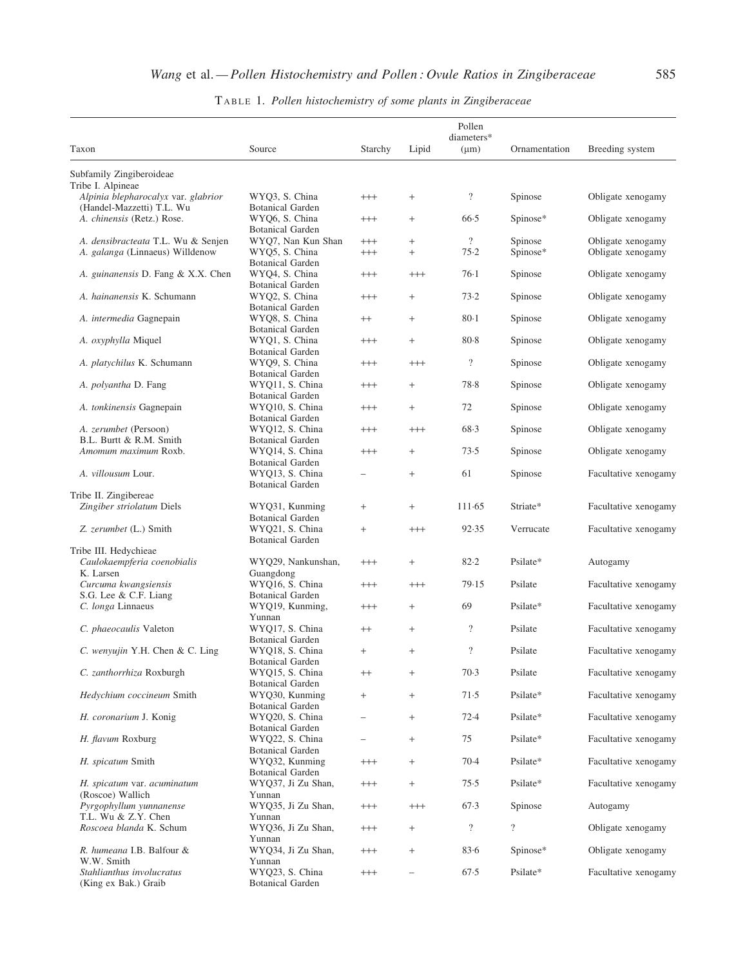|                                                                  |                                                                       |                          |                                  | Pollen<br>diameters*     |                          |                      |
|------------------------------------------------------------------|-----------------------------------------------------------------------|--------------------------|----------------------------------|--------------------------|--------------------------|----------------------|
| Taxon                                                            | Source                                                                | Starchy                  | Lipid                            | $(\mu m)$                | Ornamentation            | Breeding system      |
| Subfamily Zingiberoideae<br>Tribe I. Alpineae                    |                                                                       |                          |                                  |                          |                          |                      |
| Alpinia blepharocalyx var. glabrior<br>(Handel-Mazzetti) T.L. Wu | WYQ3, S. China<br><b>Botanical Garden</b>                             | $^{+++}$                 | $^{+}$                           | $\overline{\mathcal{L}}$ | Spinose                  | Obligate xenogamy    |
| A. chinensis (Retz.) Rose.                                       | WYQ6, S. China<br><b>Botanical Garden</b>                             | $^{+++}$                 | $\! + \!\!\!\!$                  | $66-5$                   | Spinose*                 | Obligate xenogamy    |
| A. densibracteata T.L. Wu & Senjen                               | WYQ7, Nan Kun Shan                                                    | $^{+++}$                 |                                  | $\overline{?}$           | Spinose                  | Obligate xenogamy    |
| A. galanga (Linnaeus) Willdenow                                  | WYQ5, S. China<br><b>Botanical Garden</b>                             | $^{+++}$                 | $^{+}$                           | 75.2                     | Spinose*                 | Obligate xenogamy    |
| A. guinanensis D. Fang & X.X. Chen                               | WYQ4, S. China<br><b>Botanical Garden</b>                             | $^{+++}$                 | $^{+++}$                         | $76-1$                   | Spinose                  | Obligate xenogamy    |
| A. hainanensis K. Schumann                                       | WYQ2, S. China<br><b>Botanical Garden</b>                             | $^{+++}$                 |                                  | 73.2                     | Spinose                  | Obligate xenogamy    |
| A. intermedia Gagnepain                                          | WYQ8, S. China<br><b>Botanical Garden</b>                             | $^{++}$                  |                                  | $80-1$                   | Spinose                  | Obligate xenogamy    |
| A. oxyphylla Miquel                                              | WYQ1, S. China<br><b>Botanical Garden</b>                             | $^{+++}$                 | $^{+}$                           | 80.8                     | Spinose                  | Obligate xenogamy    |
| A. platychilus K. Schumann                                       | WYQ9, S. China<br><b>Botanical Garden</b>                             | $^{+++}$                 | $^{+++}$                         | $\overline{\mathcal{L}}$ | Spinose                  | Obligate xenogamy    |
| A. polyantha D. Fang                                             | WYQ11, S. China<br><b>Botanical Garden</b>                            | $^{+++}$                 | $^{+}$                           | 78.8                     | Spinose                  | Obligate xenogamy    |
| A. tonkinensis Gagnepain                                         | WYQ10, S. China<br><b>Botanical Garden</b>                            | $^{+++}$                 | $^{+}$                           | 72                       | Spinose                  | Obligate xenogamy    |
| A. zerumbet (Persoon)<br>B.L. Burtt & R.M. Smith                 | WYQ12, S. China<br><b>Botanical Garden</b>                            | $^{+++}$                 | $^{+++}$                         | 68.3                     | Spinose                  | Obligate xenogamy    |
| Amomum maximum Roxb.                                             | WYQ14, S. China<br><b>Botanical Garden</b>                            | $^{+++}$                 | $^{+}$                           | 73.5                     | Spinose                  | Obligate xenogamy    |
| A. villousum Lour.                                               | WYQ13, S. China<br><b>Botanical Garden</b>                            |                          | $^{+}$                           | 61                       | Spinose                  | Facultative xenogamy |
| Tribe II. Zingibereae                                            |                                                                       |                          |                                  |                          |                          |                      |
| Zingiber striolatum Diels                                        | WYQ31, Kunming<br><b>Botanical Garden</b>                             | $^{+}$                   | $^{+}$                           | 111.65                   | Striate*                 | Facultative xenogamy |
| Z. zerumbet (L.) Smith                                           | WYQ21, S. China<br><b>Botanical Garden</b>                            | $^{+}$                   | $^{+++}$                         | 92.35                    | Verrucate                | Facultative xenogamy |
| Tribe III. Hedychieae                                            |                                                                       |                          |                                  |                          |                          |                      |
| Caulokaempferia coenobialis                                      | WYQ29, Nankunshan,                                                    | $^{+++}$                 | $^{+}$                           | $82 - 2$                 | Psilate*                 | Autogamy             |
| K. Larsen                                                        | Guangdong                                                             |                          |                                  |                          |                          |                      |
| Curcuma kwangsiensis                                             | WYQ16, S. China                                                       | $^{+++}$                 | $^{+++}$                         | 79.15                    | Psilate                  | Facultative xenogamy |
| S.G. Lee & C.F. Liang<br>C. longa Linnaeus                       | <b>Botanical Garden</b><br>WYQ19, Kunming,                            | $^{+++}$                 | $^{+}$                           | 69                       | Psilate*                 | Facultative xenogamy |
| C. phaeocaulis Valeton                                           | Yunnan<br>WYQ17, S. China                                             | $^{++}$                  | $^{+}$                           | $\overline{\mathbf{?}}$  | Psilate                  | Facultative xenogamy |
| C. wenyujin Y.H. Chen & C. Ling                                  | <b>Botanical Garden</b><br>WYQ18, S. China<br><b>Botanical Garden</b> | $^{+}$                   | $^{+}$                           | $\overline{\mathcal{L}}$ | Psilate                  | Facultative xenogamy |
| C. zanthorrhiza Roxburgh                                         | WYQ15, S. China<br><b>Botanical Garden</b>                            | $^{++}$                  | $^{+}$                           | 70.3                     | Psilate                  | Facultative xenogamy |
| Hedychium coccineum Smith                                        | WYQ30, Kunming<br><b>Botanical Garden</b>                             | $^{+}$                   | $^{+}$                           | 71.5                     | Psilate*                 | Facultative xenogamy |
| H. coronarium J. Konig                                           | WYQ20, S. China<br><b>Botanical Garden</b>                            | -                        | $\begin{array}{c} + \end{array}$ | $72-4$                   | Psilate*                 | Facultative xenogamy |
| H. flavum Roxburg                                                | WYQ22, S. China<br><b>Botanical Garden</b>                            | $\overline{\phantom{0}}$ | $^{+}$                           | 75                       | Psilate*                 | Facultative xenogamy |
| H. spicatum Smith                                                | WYQ32, Kunming<br><b>Botanical Garden</b>                             | $^{+++}$                 | $^{+}$                           | 70.4                     | Psilate*                 | Facultative xenogamy |
| H. spicatum var. acuminatum<br>(Roscoe) Wallich                  | WYQ37, Ji Zu Shan,<br>Yunnan                                          | $^{+++}$                 | $\begin{array}{c} + \end{array}$ | 75.5                     | Psilate*                 | Facultative xenogamy |
| Pyrgophyllum yunnanense                                          | WYQ35, Ji Zu Shan,                                                    | $^{+++}$                 | $^{+++}$                         | 67.3                     | Spinose                  | Autogamy             |
| T.L. Wu & Z.Y. Chen<br>Roscoea blanda K. Schum                   | Yunnan<br>WYQ36, Ji Zu Shan,                                          | $^{+++}$                 | $\begin{array}{c} + \end{array}$ | $\overline{?}$           | $\overline{\phantom{a}}$ | Obligate xenogamy    |
| R. humeana I.B. Balfour &                                        | Yunnan<br>WYQ34, Ji Zu Shan,                                          | $^{+++}$                 | $\begin{array}{c} + \end{array}$ | 83.6                     | Spinose*                 | Obligate xenogamy    |
| W.W. Smith<br>Stahlianthus involucratus                          | Yunnan<br>WYQ23, S. China                                             | $^{+++}$                 | $\qquad \qquad -$                | 67.5                     | Psilate*                 | Facultative xenogamy |
|                                                                  |                                                                       |                          |                                  |                          |                          |                      |

(King ex Bak.) Graib

Botanical Garden

## T ABLE 1. Pollen histochemistry of some plants in Zingiberaceae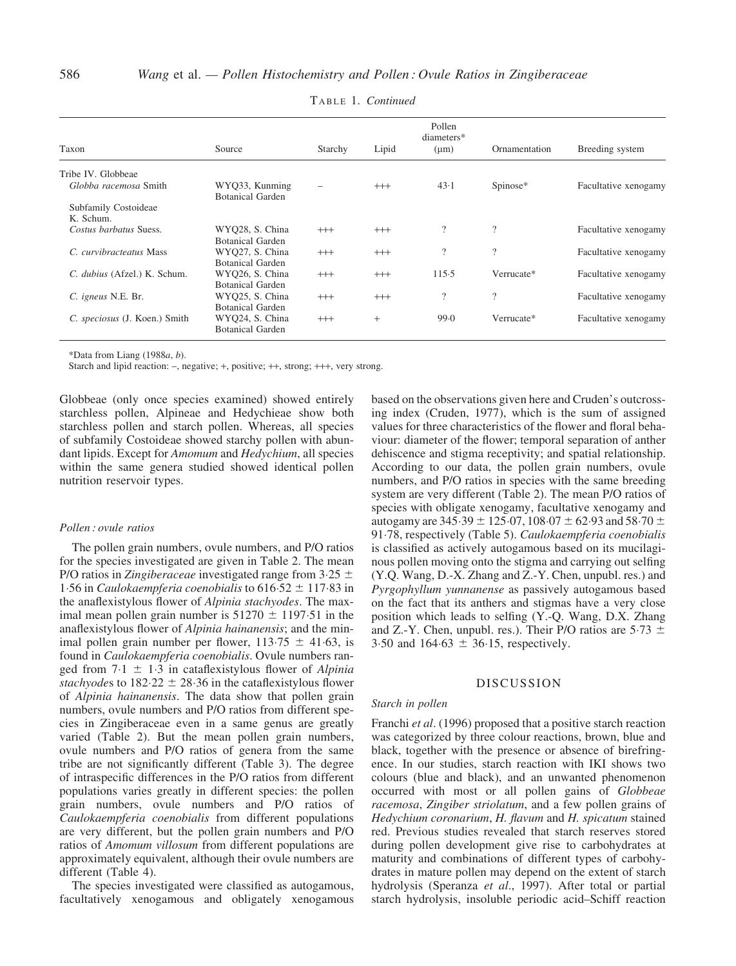| Source                                    | Starchy | Lipid    | Pollen<br>diameters*<br>$(\mu m)$ | Ornamentation            | Breeding system      |
|-------------------------------------------|---------|----------|-----------------------------------|--------------------------|----------------------|
|                                           |         |          |                                   |                          |                      |
| WYQ33, Kunming<br><b>Botanical Garden</b> |         | $^{+++}$ | 43.1                              | Spinose*                 | Facultative xenogamy |
|                                           |         |          |                                   |                          |                      |
|                                           |         |          |                                   |                          |                      |
| WYQ28, S. China                           | $+++$   | $^{+++}$ | $\overline{?}$                    | $\overline{?}$           | Facultative xenogamy |
| Botanical Garden                          |         |          |                                   |                          |                      |
| WYQ27, S. China                           | $+++$   | $^{+++}$ | $\overline{\mathcal{L}}$          | $\overline{\mathcal{L}}$ | Facultative xenogamy |
| <b>Botanical Garden</b>                   |         |          |                                   |                          |                      |
| WYQ26, S. China                           | $+++$   | $^{+++}$ | 115.5                             | Verrucate*               | Facultative xenogamy |
| <b>Botanical Garden</b>                   |         |          |                                   |                          |                      |
| WYQ25, S. China                           | $+++$   | $^{+++}$ | $\overline{\mathcal{L}}$          | $\overline{\cdot}$       | Facultative xenogamy |
| <b>Botanical Garden</b>                   |         |          |                                   |                          |                      |
| WYQ24, S. China                           | $^{++}$ | $^{+}$   | 99.0                              | Verrucate*               | Facultative xenogamy |
| <b>Botanical Garden</b>                   |         |          |                                   |                          |                      |
|                                           |         |          |                                   |                          |                      |

T ABLE 1. Continued

\*Data from Liang (1988a, b).

Starch and lipid reaction: –, negative; +, positive; ++, strong; +++, very strong.

Globbeae (only once species examined) showed entirely starchless pollen, Alpineae and Hedychieae show both starchless pollen and starch pollen. Whereas, all species of subfamily Costoideae showed starchy pollen with abundant lipids. Except for Amomum and Hedychium, all species within the same genera studied showed identical pollen nutrition reservoir types.

#### Pollen : ovule ratios

The pollen grain numbers, ovule numbers, and P/O ratios for the species investigated are given in Table 2. The mean P/O ratios in *Zingiberaceae* investigated range from  $3.25 \pm$ 1.56 in *Caulokaempferia coenobialis* to  $616.52 \pm 117.83$  in the anaflexistylous flower of Alpinia stachyodes. The maximal mean pollen grain number is  $51270 \pm 1197.51$  in the anaflexistylous flower of Alpinia hainanensis; and the minimal pollen grain number per flower,  $113.75 \pm 41.63$ , is found in Caulokaempferia coenobialis. Ovule numbers ranged from  $7.1 \pm 1.3$  in cataflexistylous flower of Alpinia stachyodes to  $182.22 \pm 28.36$  in the cataflexistylous flower of Alpinia hainanensis. The data show that pollen grain numbers, ovule numbers and P/O ratios from different species in Zingiberaceae even in a same genus are greatly varied (Table 2). But the mean pollen grain numbers, ovule numbers and P/O ratios of genera from the same tribe are not significantly different (Table 3). The degree of intraspecific differences in the P/O ratios from different populations varies greatly in different species: the pollen grain numbers, ovule numbers and P/O ratios of Caulokaempferia coenobialis from different populations are very different, but the pollen grain numbers and P/O ratios of Amomum villosum from different populations are approximately equivalent, although their ovule numbers are different (Table 4).

The species investigated were classified as autogamous, facultatively xenogamous and obligately xenogamous based on the observations given here and Cruden's outcrossing index (Cruden, 1977), which is the sum of assigned values for three characteristics of the flower and floral behaviour: diameter of the flower; temporal separation of anther dehiscence and stigma receptivity; and spatial relationship. According to our data, the pollen grain numbers, ovule numbers, and P/O ratios in species with the same breeding system are very different (Table 2). The mean P/O ratios of species with obligate xenogamy, facultative xenogamy and autogamy are 345 $\cdot$ 39  $\pm$  125 $\cdot$ 07, 108 $\cdot$ 07  $\pm$  62 $\cdot$ 93 and 58 $\cdot$ 70  $\pm$ 91-78, respectively (Table 5). Caulokaempferia coenobialis is classified as actively autogamous based on its mucilaginous pollen moving onto the stigma and carrying out selfing (Y.Q. Wang, D.-X. Zhang and Z.-Y. Chen, unpubl. res.) and Pyrgophyllum yunnanense as passively autogamous based on the fact that its anthers and stigmas have a very close position which leads to selfing (Y.-Q. Wang, D.X. Zhang and Z.-Y. Chen, unpubl. res.). Their P/O ratios are  $5.73 \pm$  $3.50$  and  $164.63 \pm 36.15$ , respectively.

#### DISCUSSION

#### Starch in pollen

Franchi et al. (1996) proposed that a positive starch reaction was categorized by three colour reactions, brown, blue and black, together with the presence or absence of birefringence. In our studies, starch reaction with IKI shows two colours (blue and black), and an unwanted phenomenon occurred with most or all pollen gains of Globbeae racemosa, Zingiber striolatum, and a few pollen grains of Hedychium coronarium, H. flavum and H. spicatum stained red. Previous studies revealed that starch reserves stored during pollen development give rise to carbohydrates at maturity and combinations of different types of carbohydrates in mature pollen may depend on the extent of starch hydrolysis (Speranza et al., 1997). After total or partial starch hydrolysis, insoluble periodic acid–Schiff reaction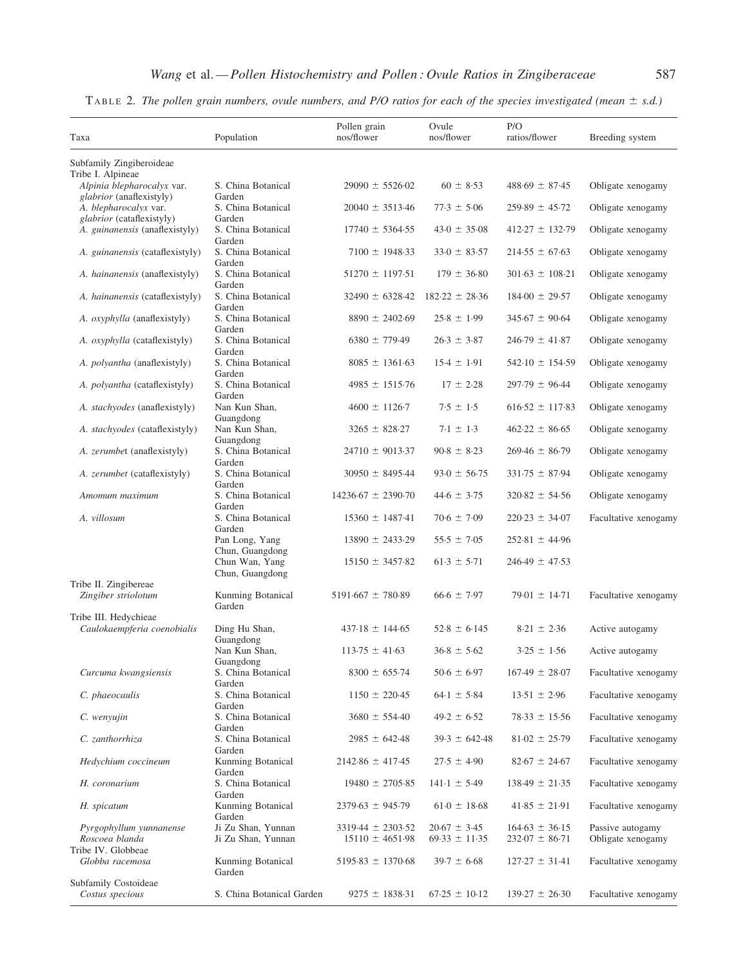| Taxa                                                        | Population                                | Pollen grain<br>nos/flower                   | Ovule<br>nos/flower                   | P/O<br>ratios/flower                     | Breeding system                       |
|-------------------------------------------------------------|-------------------------------------------|----------------------------------------------|---------------------------------------|------------------------------------------|---------------------------------------|
| Subfamily Zingiberoideae<br>Tribe I. Alpineae               |                                           |                                              |                                       |                                          |                                       |
| Alpinia blepharocalyx var.                                  | S. China Botanical                        | $29090 \pm 552602$                           | $60 \pm 8.53$                         | $488.69 \pm 87.45$                       | Obligate xenogamy                     |
| <i>glabrior</i> (anaflexistyly)<br>A. blepharocalyx var.    | Garden<br>S. China Botanical              | $20040 \pm 3513.46$                          | $77.3 \pm 5.06$                       | $259.89 \pm 45.72$                       | Obligate xenogamy                     |
| glabrior (cataflexistyly)<br>A. guinanensis (anaflexistyly) | Garden<br>S. China Botanical<br>Garden    | $17740 \pm 5364.55$                          | $43.0 \pm 35.08$                      | $412.27 \pm 132.79$                      | Obligate xenogamy                     |
| A. guinanensis (cataflexistyly)                             | S. China Botanical<br>Garden              | $7100 \pm 1948.33$                           | $33.0 \pm 83.57$                      | $214.55 \pm 67.63$                       | Obligate xenogamy                     |
| A. hainanensis (anaflexistyly)                              | S. China Botanical<br>Garden              | $51270 \pm 1197.51$                          | $179 \pm 36.80$                       | $301.63 \pm 108.21$                      | Obligate xenogamy                     |
| A. hainanensis (cataflexistyly)                             | S. China Botanical<br>Garden              | $32490 \pm 6328.42$                          | $182.22 \pm 28.36$                    | $184.00 \pm 29.57$                       | Obligate xenogamy                     |
| A. oxyphylla (anaflexistyly)                                | S. China Botanical<br>Garden              | $8890 \pm 2402.69$                           | $25.8 \pm 1.99$                       | $345.67 \pm 90.64$                       | Obligate xenogamy                     |
| A. oxyphylla (cataflexistyly)                               | S. China Botanical<br>Garden              | $6380 \pm 779.49$                            | $26.3 \pm 3.87$                       | $246.79 \pm 41.87$                       | Obligate xenogamy                     |
| A. polyantha (anaflexistyly)                                | S. China Botanical<br>Garden              | $8085 \pm 1361.63$                           | $15.4 \pm 1.91$                       | $542.10 \pm 154.59$                      | Obligate xenogamy                     |
| A. polyantha (cataflexistyly)                               | S. China Botanical<br>Garden              | $4985 \pm 1515.76$                           | $17 \pm 2.28$                         | $297.79 \pm 96.44$                       | Obligate xenogamy                     |
| A. stachyodes (anaflexistyly)                               | Nan Kun Shan,<br>Guangdong                | $4600 \pm 1126.7$                            | $7.5 \pm 1.5$                         | $616.52 \pm 117.83$                      | Obligate xenogamy                     |
| A. stachyodes (cataflexistyly)                              | Nan Kun Shan,<br>Guangdong                | $3265 \pm 828.27$                            | $7.1 \pm 1.3$                         | $462.22 \pm 86.65$                       | Obligate xenogamy                     |
| A. zerumbet (anaflexistyly)                                 | S. China Botanical<br>Garden              | $24710 \pm 9013.37$                          | $90.8 \pm 8.23$                       | $269.46 \pm 86.79$                       | Obligate xenogamy                     |
| A. zerumbet (cataflexistyly)                                | S. China Botanical<br>Garden              | $30950 \pm 8495.44$                          | $93.0 \pm 56.75$                      | $331.75 \pm 87.94$                       | Obligate xenogamy                     |
| Amomum maximum                                              | S. China Botanical<br>Garden              | $14236.67 \pm 2390.70$                       | $44.6 \pm 3.75$                       | $320.82 \pm 54.56$                       | Obligate xenogamy                     |
| A. villosum                                                 | S. China Botanical<br>Garden              | $15360 \pm 1487.41$                          | $70.6 \pm 7.09$                       | $220.23 \pm 34.07$                       | Facultative xenogamy                  |
|                                                             | Pan Long, Yang<br>Chun, Guangdong         | $13890 \pm 2433.29$                          | $55.5 \pm 7.05$                       | $252.81 \pm 44.96$                       |                                       |
|                                                             | Chun Wan, Yang<br>Chun, Guangdong         | $15150 \pm 3457.82$                          | $61.3 \pm 5.71$                       | $246.49 \pm 47.53$                       |                                       |
| Tribe II. Zingibereae                                       |                                           |                                              |                                       |                                          |                                       |
| Zingiber striolotum                                         | Kunming Botanical<br>Garden               | $5191.667 \pm 780.89$                        | $66.6 \pm 7.97$                       | $79.01 \pm 14.71$                        | Facultative xenogamy                  |
| Tribe III. Hedychieae<br>Caulokaempferia coenobialis        | Ding Hu Shan,                             | $437.18 \pm 144.65$                          | $52.8 \pm 6.145$                      | $8.21 \pm 2.36$                          | Active autogamy                       |
|                                                             | Guangdong<br>Nan Kun Shan,                | $113.75 \pm 41.63$                           | $36.8 \pm 5.62$                       | $3.25 \pm 1.56$                          | Active autogamy                       |
| Curcuma kwangsiensis                                        | Guangdong<br>S. China Botanical<br>Garden | $8300 \pm 655.74$                            | $50.6 \pm 6.97$                       | $167.49 \pm 28.07$                       | Facultative xenogamy                  |
| C. phaeocaulis                                              | S. China Botanical<br>Garden              | $1150 \pm 220.45$                            | $64.1 \pm 5.84$                       | $13.51 \pm 2.96$                         | Facultative xenogamy                  |
| C. wenyujin                                                 | S. China Botanical<br>Garden              | $3680 \pm 554.40$                            | $49.2 \pm 6.52$                       | $78.33 \pm 15.56$                        | Facultative xenogamy                  |
| C. zanthorrhiza                                             | S. China Botanical<br>Garden              | $2985 \pm 642.48$                            | $39.3 \pm 642.48$                     | $81.02 \pm 25.79$                        | Facultative xenogamy                  |
| Hedychium coccineum                                         | Kunming Botanical<br>Garden               | $2142.86 \pm 417.45$                         | $27.5 \pm 4.90$                       | $82.67 \pm 24.67$                        | Facultative xenogamy                  |
| H. coronarium                                               | S. China Botanical                        | $19480 \pm 2705.85$                          | $141.1 \pm 5.49$                      | $138.49 \pm 21.35$                       | Facultative xenogamy                  |
| H. spicatum                                                 | Garden<br>Kunming Botanical<br>Garden     | $2379.63 \pm 945.79$                         | $61.0 \pm 18.68$                      | $41.85 \pm 21.91$                        | Facultative xenogamy                  |
| Pyrgophyllum yunnanense<br>Roscoea blanda                   | Ji Zu Shan, Yunnan<br>Ji Zu Shan, Yunnan  | $3319.44 \pm 2303.52$<br>$15110 \pm 4651.98$ | $20.67 \pm 3.45$<br>$69.33 \pm 11.35$ | $164.63 \pm 36.15$<br>$232.07 \pm 86.71$ | Passive autogamy<br>Obligate xenogamy |
| Tribe IV. Globbeae<br>Globba racemosa                       | Kunming Botanical                         | $5195.83 \pm 1370.68$                        | $39.7 \pm 6.68$                       | $127.27 \pm 31.41$                       | Facultative xenogamy                  |
|                                                             | Garden                                    |                                              |                                       |                                          |                                       |
| Subfamily Costoideae<br>Costus specious                     | S. China Botanical Garden                 | $9275 \pm 1838.31$                           | $67.25 \pm 10.12$                     | $139.27 \pm 26.30$                       | Facultative xenogamy                  |

# TABLE 2. The pollen grain numbers, ovule numbers, and P/O ratios for each of the species investigated (mean  $\pm$  s.d.)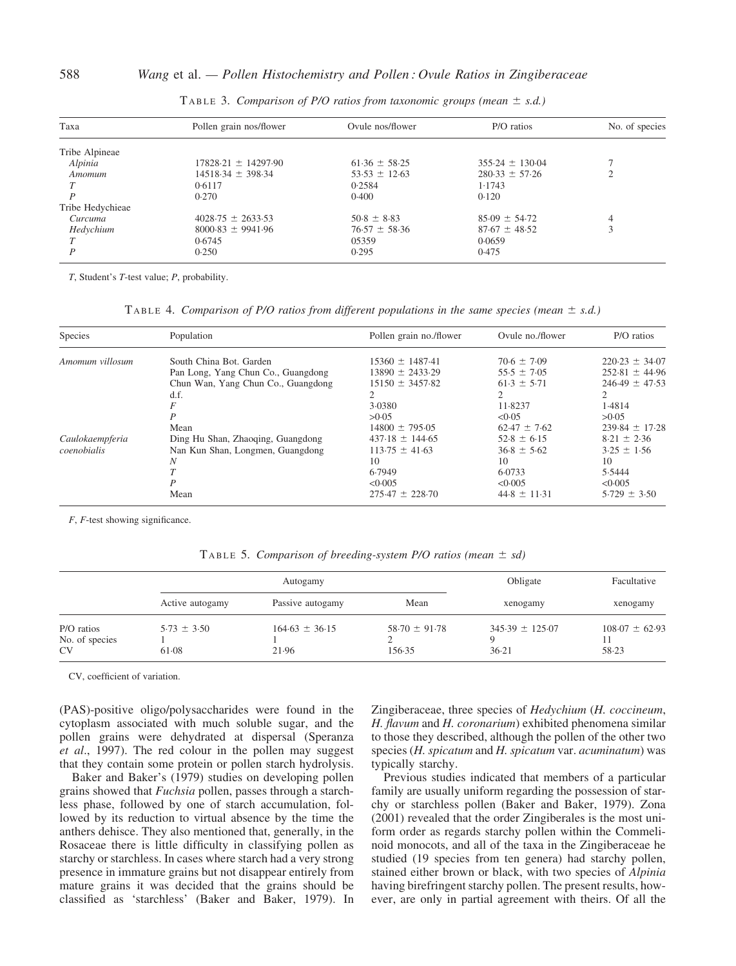| Taxa             | Pollen grain nos/flower | Ovule nos/flower  | P/O ratios          | No. of species |
|------------------|-------------------------|-------------------|---------------------|----------------|
| Tribe Alpineae   |                         |                   |                     |                |
| Alpinia          | $17828.21 \pm 14297.90$ | $61.36 \pm 58.25$ | $355.24 \pm 130.04$ |                |
| Amomum           | $14518.34 \pm 398.34$   | $53.53 \pm 12.63$ | $280.33 \pm 57.26$  | 2              |
|                  | 0.6117                  | 0.2584            | 1.1743              |                |
|                  | 0.270                   | 0.400             | 0.120               |                |
| Tribe Hedychieae |                         |                   |                     |                |
| Curcuma          | $4028.75 \pm 2633.53$   | $50.8 \pm 8.83$   | $85.09 \pm 54.72$   | 4              |
| Hedychium        | $8000.83 \pm 9941.96$   | $76.57 \pm 58.36$ | $87.67 \pm 48.52$   | 3              |
|                  | 0.6745                  | 05359             | 0.0659              |                |
|                  | 0.250                   | 0.295             | 0.475               |                |

TABLE 3. Comparison of P/O ratios from taxonomic groups (mean  $\pm$  s.d.)

T, Student's T-test value; P, probability.

TABLE 4. Comparison of P/O ratios from different populations in the same species (mean  $\pm$  s.d.)

| Species         | Population                         | Pollen grain no./flower | Ovule no./flower | P/O ratios         |
|-----------------|------------------------------------|-------------------------|------------------|--------------------|
| Amomum villosum | South China Bot. Garden            | $15360 \pm 1487.41$     | $70.6 \pm 7.09$  | $220.23 \pm 34.07$ |
|                 | Pan Long, Yang Chun Co., Guangdong | $13890 \pm 2433.29$     | $55.5 \pm 7.05$  | $252.81 \pm 44.96$ |
|                 | Chun Wan, Yang Chun Co., Guangdong | $15150 \pm 3457.82$     | $61.3 \pm 5.71$  | $246.49 \pm 47.53$ |
|                 | d.f.                               |                         |                  |                    |
|                 |                                    | 3.0380                  | 11.8237          | 1.4814             |
|                 |                                    | >0.05                   | < 0.05           | >0.05              |
|                 | Mean                               | $14800 \pm 795.05$      | $62.47 \pm 7.62$ | $239.84 \pm 17.28$ |
| Caulokaempferia | Ding Hu Shan, Zhaoqing, Guangdong  | $437.18 \pm 144.65$     | $52.8 \pm 6.15$  | $8.21 \pm 2.36$    |
| coenobialis     | Nan Kun Shan, Longmen, Guangdong   | $113.75 \pm 41.63$      | $36.8 \pm 5.62$  | $3.25 \pm 1.56$    |
|                 | N                                  | 10                      | 10               | 10                 |
|                 |                                    | 6.7949                  | 6.0733           | 5.5444             |
|                 | P                                  | < 0.005                 | < 0.005          | < 0.005            |
|                 | Mean                               | $275.47 \pm 228.70$     | $44.8 \pm 11.31$ | $5.729 \pm 3.50$   |

F, F-test showing significance.

TABLE 5. Comparison of breeding-system P/O ratios (mean  $\pm$  sd)

|                                     | Autogamy                 |                             |                             | Obligate                       | Facultative                 |
|-------------------------------------|--------------------------|-----------------------------|-----------------------------|--------------------------------|-----------------------------|
|                                     | Active autogamy          | Passive autogamy            | Mean                        | xenogamy                       | xenogamy                    |
| P/O ratios<br>No. of species<br>CV. | $5.73 \pm 3.50$<br>61.08 | $164.63 \pm 36.15$<br>21.96 | $58.70 \pm 91.78$<br>156.35 | $345.39 \pm 125.07$<br>$36-21$ | $108.07 \pm 62.93$<br>58.23 |

CV, coefficient of variation.

(PAS)-positive oligo/polysaccharides were found in the cytoplasm associated with much soluble sugar, and the pollen grains were dehydrated at dispersal (Speranza et al., 1997). The red colour in the pollen may suggest that they contain some protein or pollen starch hydrolysis.

Baker and Baker's (1979) studies on developing pollen grains showed that Fuchsia pollen, passes through a starchless phase, followed by one of starch accumulation, followed by its reduction to virtual absence by the time the anthers dehisce. They also mentioned that, generally, in the Rosaceae there is little difficulty in classifying pollen as starchy or starchless. In cases where starch had a very strong presence in immature grains but not disappear entirely from mature grains it was decided that the grains should be classified as 'starchless' (Baker and Baker, 1979). In Zingiberaceae, three species of Hedychium (H. coccineum, H. flavum and H. coronarium) exhibited phenomena similar to those they described, although the pollen of the other two species  $(H.$  spicatum and  $H.$  spicatum var. acuminatum) was typically starchy.

Previous studies indicated that members of a particular family are usually uniform regarding the possession of starchy or starchless pollen (Baker and Baker, 1979). Zona (2001) revealed that the order Zingiberales is the most uniform order as regards starchy pollen within the Commelinoid monocots, and all of the taxa in the Zingiberaceae he studied (19 species from ten genera) had starchy pollen, stained either brown or black, with two species of Alpinia having birefringent starchy pollen. The present results, however, are only in partial agreement with theirs. Of all the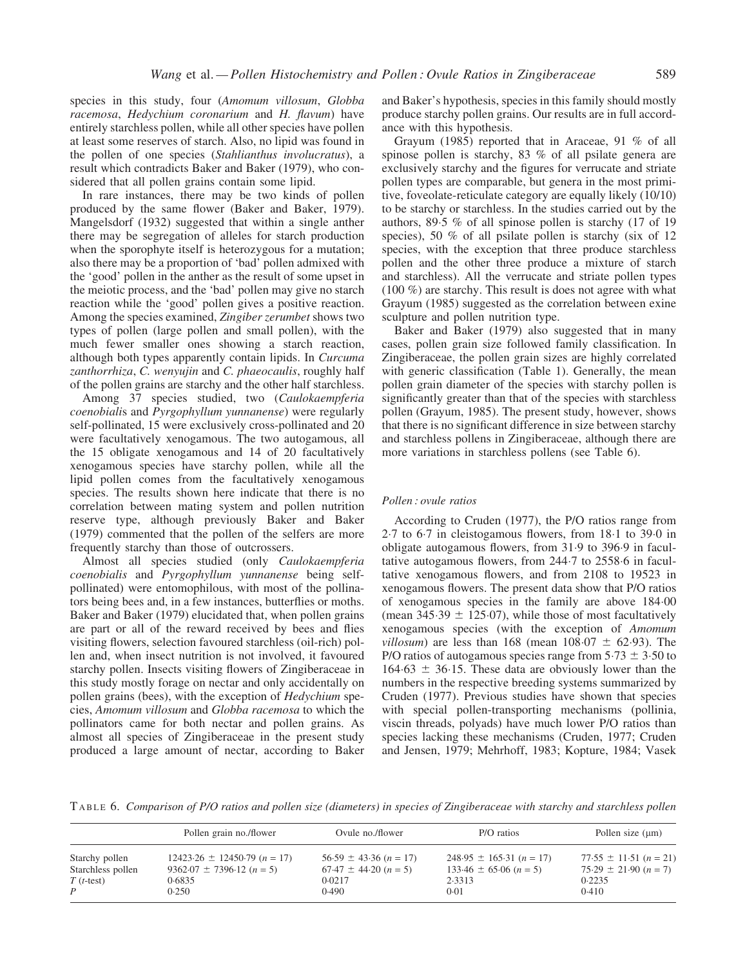species in this study, four (Amomum villosum, Globba racemosa, Hedychium coronarium and H. flavum) have entirely starchless pollen, while all other species have pollen at least some reserves of starch. Also, no lipid was found in the pollen of one species (Stahlianthus involucratus), a result which contradicts Baker and Baker (1979), who considered that all pollen grains contain some lipid.

In rare instances, there may be two kinds of pollen produced by the same flower (Baker and Baker, 1979). Mangelsdorf (1932) suggested that within a single anther there may be segregation of alleles for starch production when the sporophyte itself is heterozygous for a mutation; also there may be a proportion of 'bad' pollen admixed with the 'good' pollen in the anther as the result of some upset in the meiotic process, and the 'bad' pollen may give no starch reaction while the 'good' pollen gives a positive reaction. Among the species examined, Zingiber zerumbet shows two types of pollen (large pollen and small pollen), with the much fewer smaller ones showing a starch reaction, although both types apparently contain lipids. In Curcuma zanthorrhiza, C. wenyujin and C. phaeocaulis, roughly half of the pollen grains are starchy and the other half starchless.

Among 37 species studied, two (Caulokaempferia coenobialis and Pyrgophyllum yunnanense) were regularly self-pollinated, 15 were exclusively cross-pollinated and 20 were facultatively xenogamous. The two autogamous, all the 15 obligate xenogamous and 14 of 20 facultatively xenogamous species have starchy pollen, while all the lipid pollen comes from the facultatively xenogamous species. The results shown here indicate that there is no correlation between mating system and pollen nutrition reserve type, although previously Baker and Baker (1979) commented that the pollen of the selfers are more frequently starchy than those of outcrossers.

Almost all species studied (only Caulokaempferia coenobialis and Pyrgophyllum yunnanense being selfpollinated) were entomophilous, with most of the pollinators being bees and, in a few instances, butterflies or moths. Baker and Baker (1979) elucidated that, when pollen grains are part or all of the reward received by bees and flies visiting flowers, selection favoured starchless (oil-rich) pollen and, when insect nutrition is not involved, it favoured starchy pollen. Insects visiting flowers of Zingiberaceae in this study mostly forage on nectar and only accidentally on pollen grains (bees), with the exception of Hedychium species, Amomum villosum and Globba racemosa to which the pollinators came for both nectar and pollen grains. As almost all species of Zingiberaceae in the present study produced a large amount of nectar, according to Baker and Baker's hypothesis, species in this family should mostly produce starchy pollen grains. Our results are in full accordance with this hypothesis.

Grayum (1985) reported that in Araceae, 91 % of all spinose pollen is starchy, 83 % of all psilate genera are exclusively starchy and the figures for verrucate and striate pollen types are comparable, but genera in the most primitive, foveolate-reticulate category are equally likely (10/10) to be starchy or starchless. In the studies carried out by the authors, 89-5 % of all spinose pollen is starchy (17 of 19 species), 50 % of all psilate pollen is starchy (six of 12 species, with the exception that three produce starchless pollen and the other three produce a mixture of starch and starchless). All the verrucate and striate pollen types (100 %) are starchy. This result is does not agree with what Grayum (1985) suggested as the correlation between exine sculpture and pollen nutrition type.

Baker and Baker (1979) also suggested that in many cases, pollen grain size followed family classification. In Zingiberaceae, the pollen grain sizes are highly correlated with generic classification (Table 1). Generally, the mean pollen grain diameter of the species with starchy pollen is significantly greater than that of the species with starchless pollen (Grayum, 1985). The present study, however, shows that there is no significant difference in size between starchy and starchless pollens in Zingiberaceae, although there are more variations in starchless pollens (see Table 6).

#### Pollen : ovule ratios

According to Cruden (1977), the P/O ratios range from 2-7 to 6-7 in cleistogamous flowers, from 18-1 to 39-0 in obligate autogamous flowers, from 31-9 to 396-9 in facultative autogamous flowers, from 244-7 to 2558-6 in facultative xenogamous flowers, and from 2108 to 19523 in xenogamous flowers. The present data show that P/O ratios of xenogamous species in the family are above 184-00 (mean  $345.39 \pm 125.07$ ), while those of most facultatively xenogamous species (with the exception of Amomum *villosum*) are less than  $168$  (mean  $108.07 \pm 62.93$ ). The P/O ratios of autogamous species range from  $5.73 \pm 3.50$  to  $164.63 \pm 36.15$ . These data are obviously lower than the numbers in the respective breeding systems summarized by Cruden (1977). Previous studies have shown that species with special pollen-transporting mechanisms (pollinia, viscin threads, polyads) have much lower P/O ratios than species lacking these mechanisms (Cruden, 1977; Cruden and Jensen, 1979; Mehrhoff, 1983; Kopture, 1984; Vasek

T ABLE 6. Comparison of P/O ratios and pollen size (diameters) in species of Zingiberaceae with starchy and starchless pollen

|                   | Pollen grain no./flower          | Ovule no./flower           | P/O ratios                     | Pollen size $(\mu m)$      |
|-------------------|----------------------------------|----------------------------|--------------------------------|----------------------------|
| Starchy pollen    | $12423.26 \pm 12450.79$ (n = 17) | $56.59 \pm 43.36 (n = 17)$ | $248.95 \pm 165.31 \ (n = 17)$ | $77.55 \pm 11.51$ (n = 21) |
| Starchless pollen | $9362.07 \pm 7396.12 (n = 5)$    | $67.47 \pm 44.20 (n = 5)$  | $133.46 \pm 65.06 (n = 5)$     | $75.29 \pm 21.90 (n = 7)$  |
| $T(t-test)$       | 0.6835                           | 0.0217                     | 2.3313                         | 0.2235                     |
| P                 | 0.250                            | 0.490                      | 0.01                           | 0.410                      |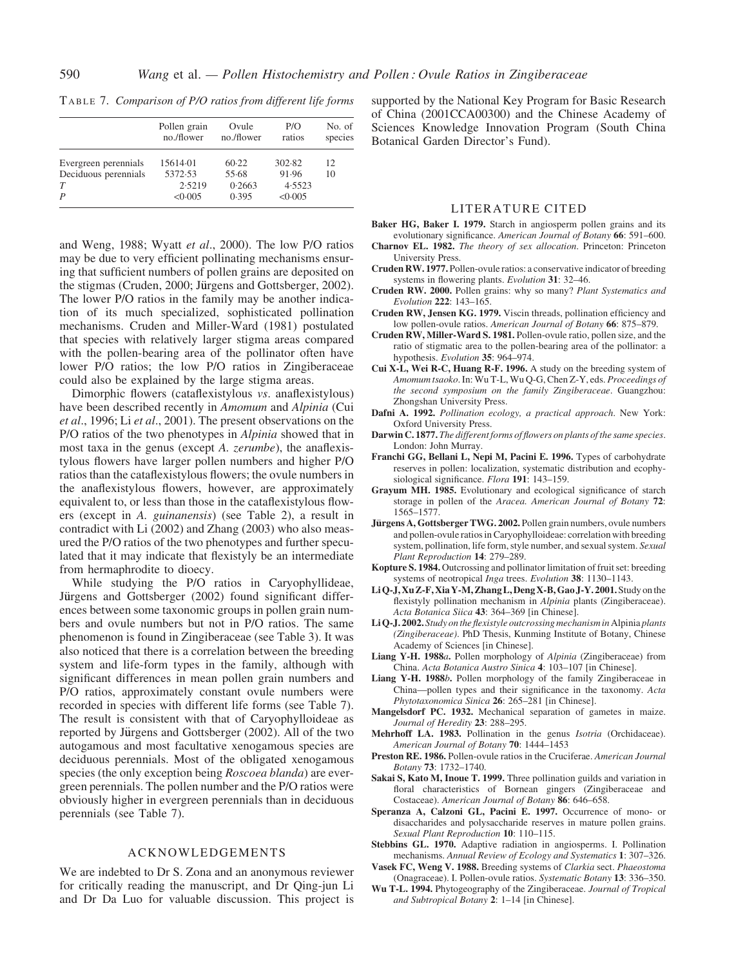T ABLE 7. Comparison of P/O ratios from different life forms

| Pollen grain<br>no./flower | Ovule<br>no./flower | P/O<br>ratios | No. of<br>species |
|----------------------------|---------------------|---------------|-------------------|
| 15614.01                   | $60-22$             | 302.82        | 12                |
| 5372.53                    | 55.68               | 91.96         | 10                |
| < 0.005                    | 0.395               | < 0.005       |                   |
|                            | 2.5219              | 0.2663        | 4.5523            |

and Weng, 1988; Wyatt et al., 2000). The low P/O ratios may be due to very efficient pollinating mechanisms ensuring that sufficient numbers of pollen grains are deposited on the stigmas (Cruden, 2000; Jürgens and Gottsberger, 2002). The lower P/O ratios in the family may be another indication of its much specialized, sophisticated pollination mechanisms. Cruden and Miller-Ward (1981) postulated that species with relatively larger stigma areas compared with the pollen-bearing area of the pollinator often have lower P/O ratios; the low P/O ratios in Zingiberaceae could also be explained by the large stigma areas.

Dimorphic flowers (cataflexistylous vs. anaflexistylous) have been described recently in Amomum and Alpinia (Cui et al., 1996; Li et al., 2001). The present observations on the P/O ratios of the two phenotypes in *Alpinia* showed that in most taxa in the genus (except A. zerumbe), the anaflexistylous flowers have larger pollen numbers and higher P/O ratios than the cataflexistylous flowers; the ovule numbers in the anaflexistylous flowers, however, are approximately equivalent to, or less than those in the cataflexistylous flowers (except in A. guinanensis) (see Table 2), a result in contradict with Li (2002) and Zhang (2003) who also measured the P/O ratios of the two phenotypes and further speculated that it may indicate that flexistyly be an intermediate from hermaphrodite to dioecy.

While studying the P/O ratios in Caryophyllideae, Jürgens and Gottsberger (2002) found significant differences between some taxonomic groups in pollen grain numbers and ovule numbers but not in P/O ratios. The same phenomenon is found in Zingiberaceae (see Table 3). It was also noticed that there is a correlation between the breeding system and life-form types in the family, although with significant differences in mean pollen grain numbers and P/O ratios, approximately constant ovule numbers were recorded in species with different life forms (see Table 7). The result is consistent with that of Caryophylloideae as reported by Jürgens and Gottsberger (2002). All of the two autogamous and most facultative xenogamous species are deciduous perennials. Most of the obligated xenogamous species (the only exception being *Roscoea blanda*) are evergreen perennials. The pollen number and the P/O ratios were obviously higher in evergreen perennials than in deciduous perennials (see Table 7).

#### ACKNOWLEDGEMENTS

We are indebted to Dr S. Zona and an anonymous reviewer for critically reading the manuscript, and Dr Qing-jun Li and Dr Da Luo for valuable discussion. This project is supported by the National Key Program for Basic Research of China (2001CCA00300) and the Chinese Academy of Sciences Knowledge Innovation Program (South China Botanical Garden Director's Fund).

#### LITERATURE CITED

- Baker HG, Baker I. 1979. Starch in angiosperm pollen grains and its evolutionary significance. American Journal of Botany 66: 591–600.
- Charnov EL. 1982. The theory of sex allocation. Princeton: Princeton University Press.
- Cruden RW. 1977. Pollen-ovule ratios: a conservative indicator of breeding systems in flowering plants. Evolution 31: 32–46.
- Cruden RW. 2000. Pollen grains: why so many? Plant Systematics and Evolution 222: 143–165.
- Cruden RW, Jensen KG. 1979. Viscin threads, pollination efficiency and low pollen-ovule ratios. American Journal of Botany 66: 875–879.
- Cruden RW, Miller-Ward S. 1981. Pollen-ovule ratio, pollen size, and the ratio of stigmatic area to the pollen-bearing area of the pollinator: a hypothesis. Evolution 35: 964-974.
- Cui X-L, Wei R-C, Huang R-F. 1996. A study on the breeding system of Amomum tsaoko. In: Wu T-L, Wu Q-G, Chen Z-Y, eds. Proceedings of the second symposium on the family Zingiberaceae. Guangzhou: Zhongshan University Press.
- Dafni A. 1992. Pollination ecology, a practical approach. New York: Oxford University Press.
- Darwin C. 1877. The different forms of flowers on plants of the same species. London: John Murray.
- Franchi GG, Bellani L, Nepi M, Pacini E. 1996. Types of carbohydrate reserves in pollen: localization, systematic distribution and ecophysiological significance. Flora 191: 143–159.
- Grayum MH. 1985. Evolutionary and ecological significance of starch storage in pollen of the Aracea. American Journal of Botany 72: 1565–1577.
- Jürgens A, Gottsberger TWG. 2002. Pollen grain numbers, ovule numbers and pollen-ovule ratios in Caryophylloideae: correlation with breeding system, pollination, life form, style number, and sexual system. Sexual Plant Reproduction 14: 279–289.
- Kopture S. 1984. Outcrossing and pollinator limitation of fruit set: breeding systems of neotropical Inga trees. Evolution 38: 1130–1143.
- Li Q-J, XuZ-F, Xia Y-M,ZhangL, Deng X-B, Gao J-Y. 2001.Study onthe flexistyly pollination mechanism in Alpinia plants (Zingiberaceae). Acta Botanica Siica 43: 364–369 [in Chinese].
- Li  $O-I$ , 2002, Study on the flexistyle outcrossing mechanism in Alpinia plants (Zingiberaceae). PhD Thesis, Kunming Institute of Botany, Chinese Academy of Sciences [in Chinese].
- Liang Y-H. 1988a. Pollen morphology of Alpinia (Zingiberaceae) from China. Acta Botanica Austro Sinica 4: 103–107 [in Chinese].
- Liang Y-H. 1988b. Pollen morphology of the family Zingiberaceae in China—pollen types and their significance in the taxonomy. Acta Phytotaxonomica Sinica 26: 265–281 [in Chinese].
- Mangelsdorf PC. 1932. Mechanical separation of gametes in maize. Journal of Heredity 23: 288-295.
- Mehrhoff LA. 1983. Pollination in the genus Isotria (Orchidaceae). American Journal of Botany 70: 1444–1453
- Preston RE. 1986. Pollen-ovule ratios in the Cruciferae. American Journal Botany 73: 1732–1740.
- Sakai S, Kato M, Inoue T. 1999. Three pollination guilds and variation in floral characteristics of Bornean gingers (Zingiberaceae and Costaceae). American Journal of Botany 86: 646–658.
- Speranza A, Calzoni GL, Pacini E. 1997. Occurrence of mono- or disaccharides and polysaccharide reserves in mature pollen grains. Sexual Plant Reproduction 10: 110–115.
- Stebbins GL. 1970. Adaptive radiation in angiosperms. I. Pollination mechanisms. Annual Review of Ecology and Systematics 1: 307–326.
- Vasek FC, Weng V. 1988. Breeding systems of Clarkia sect. Phaeostoma (Onagraceae). I. Pollen-ovule ratios. Systematic Botany 13: 336–350.
- Wu T-L. 1994. Phytogeography of the Zingiberaceae. Journal of Tropical and Subtropical Botany 2: 1–14 [in Chinese].